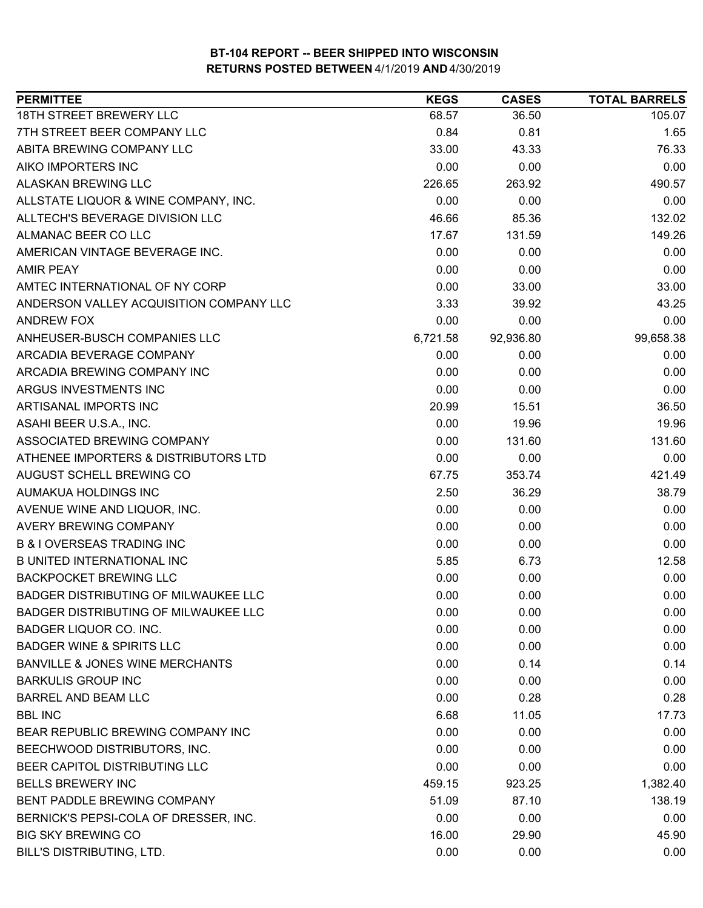| <b>PERMITTEE</b>                           | <b>KEGS</b> | <b>CASES</b> | <b>TOTAL BARRELS</b> |
|--------------------------------------------|-------------|--------------|----------------------|
| 18TH STREET BREWERY LLC                    | 68.57       | 36.50        | 105.07               |
| 7TH STREET BEER COMPANY LLC                | 0.84        | 0.81         | 1.65                 |
| ABITA BREWING COMPANY LLC                  | 33.00       | 43.33        | 76.33                |
| AIKO IMPORTERS INC                         | 0.00        | 0.00         | 0.00                 |
| ALASKAN BREWING LLC                        | 226.65      | 263.92       | 490.57               |
| ALLSTATE LIQUOR & WINE COMPANY, INC.       | 0.00        | 0.00         | 0.00                 |
| ALLTECH'S BEVERAGE DIVISION LLC            | 46.66       | 85.36        | 132.02               |
| ALMANAC BEER CO LLC                        | 17.67       | 131.59       | 149.26               |
| AMERICAN VINTAGE BEVERAGE INC.             | 0.00        | 0.00         | 0.00                 |
| <b>AMIR PEAY</b>                           | 0.00        | 0.00         | 0.00                 |
| AMTEC INTERNATIONAL OF NY CORP             | 0.00        | 33.00        | 33.00                |
| ANDERSON VALLEY ACQUISITION COMPANY LLC    | 3.33        | 39.92        | 43.25                |
| <b>ANDREW FOX</b>                          | 0.00        | 0.00         | 0.00                 |
| ANHEUSER-BUSCH COMPANIES LLC               | 6,721.58    | 92,936.80    | 99,658.38            |
| ARCADIA BEVERAGE COMPANY                   | 0.00        | 0.00         | 0.00                 |
| ARCADIA BREWING COMPANY INC                | 0.00        | 0.00         | 0.00                 |
| ARGUS INVESTMENTS INC                      | 0.00        | 0.00         | 0.00                 |
| ARTISANAL IMPORTS INC                      | 20.99       | 15.51        | 36.50                |
| ASAHI BEER U.S.A., INC.                    | 0.00        | 19.96        | 19.96                |
| ASSOCIATED BREWING COMPANY                 | 0.00        | 131.60       | 131.60               |
| ATHENEE IMPORTERS & DISTRIBUTORS LTD       | 0.00        | 0.00         | 0.00                 |
| AUGUST SCHELL BREWING CO                   | 67.75       | 353.74       | 421.49               |
| AUMAKUA HOLDINGS INC                       | 2.50        | 36.29        | 38.79                |
| AVENUE WINE AND LIQUOR, INC.               | 0.00        | 0.00         | 0.00                 |
| AVERY BREWING COMPANY                      | 0.00        | 0.00         | 0.00                 |
| <b>B &amp; I OVERSEAS TRADING INC</b>      | 0.00        | 0.00         | 0.00                 |
| <b>B UNITED INTERNATIONAL INC</b>          | 5.85        | 6.73         | 12.58                |
| <b>BACKPOCKET BREWING LLC</b>              | 0.00        | 0.00         | 0.00                 |
| BADGER DISTRIBUTING OF MILWAUKEE LLC       | 0.00        | 0.00         | 0.00                 |
| BADGER DISTRIBUTING OF MILWAUKEE LLC       | 0.00        | 0.00         | 0.00                 |
| <b>BADGER LIQUOR CO. INC.</b>              | 0.00        | 0.00         | 0.00                 |
| <b>BADGER WINE &amp; SPIRITS LLC</b>       | 0.00        | 0.00         | 0.00                 |
| <b>BANVILLE &amp; JONES WINE MERCHANTS</b> | 0.00        | 0.14         | 0.14                 |
| <b>BARKULIS GROUP INC</b>                  | 0.00        | 0.00         | 0.00                 |
| <b>BARREL AND BEAM LLC</b>                 | 0.00        | 0.28         | 0.28                 |
| <b>BBL INC</b>                             | 6.68        | 11.05        | 17.73                |
| BEAR REPUBLIC BREWING COMPANY INC          | 0.00        | 0.00         | 0.00                 |
| BEECHWOOD DISTRIBUTORS, INC.               | 0.00        | 0.00         | 0.00                 |
| BEER CAPITOL DISTRIBUTING LLC              | 0.00        | 0.00         | 0.00                 |
| <b>BELLS BREWERY INC</b>                   | 459.15      | 923.25       | 1,382.40             |
| BENT PADDLE BREWING COMPANY                | 51.09       | 87.10        | 138.19               |
| BERNICK'S PEPSI-COLA OF DRESSER, INC.      | 0.00        | 0.00         | 0.00                 |
| <b>BIG SKY BREWING CO</b>                  | 16.00       | 29.90        | 45.90                |
| BILL'S DISTRIBUTING, LTD.                  | 0.00        | 0.00         | 0.00                 |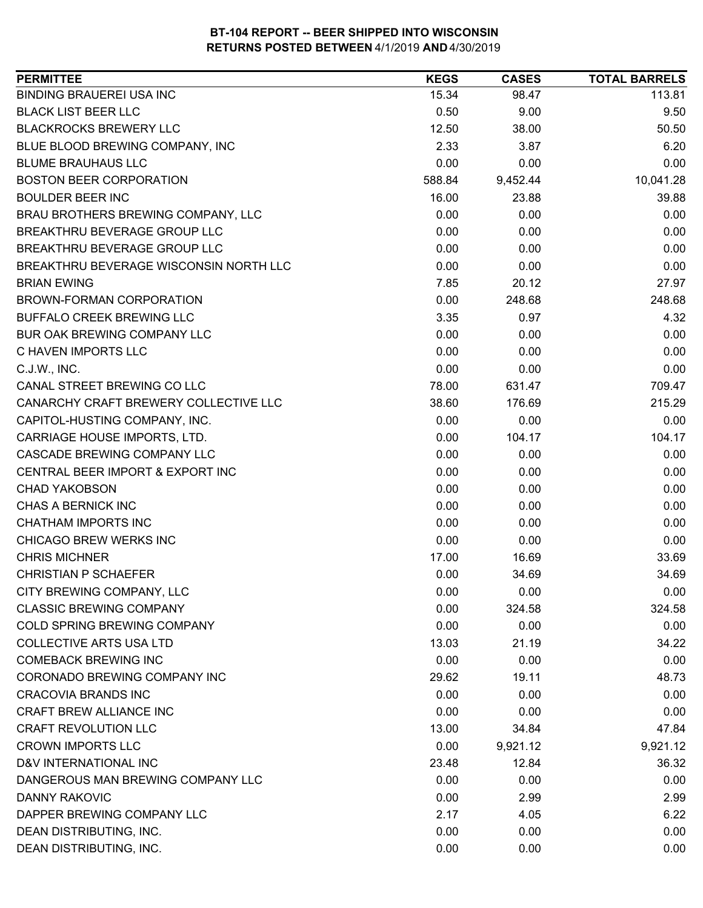| <b>PERMITTEE</b>                       | <b>KEGS</b> | <b>CASES</b> | <b>TOTAL BARRELS</b> |
|----------------------------------------|-------------|--------------|----------------------|
| <b>BINDING BRAUEREI USA INC</b>        | 15.34       | 98.47        | 113.81               |
| <b>BLACK LIST BEER LLC</b>             | 0.50        | 9.00         | 9.50                 |
| <b>BLACKROCKS BREWERY LLC</b>          | 12.50       | 38.00        | 50.50                |
| BLUE BLOOD BREWING COMPANY, INC        | 2.33        | 3.87         | 6.20                 |
| <b>BLUME BRAUHAUS LLC</b>              | 0.00        | 0.00         | 0.00                 |
| <b>BOSTON BEER CORPORATION</b>         | 588.84      | 9,452.44     | 10,041.28            |
| <b>BOULDER BEER INC</b>                | 16.00       | 23.88        | 39.88                |
| BRAU BROTHERS BREWING COMPANY, LLC     | 0.00        | 0.00         | 0.00                 |
| BREAKTHRU BEVERAGE GROUP LLC           | 0.00        | 0.00         | 0.00                 |
| BREAKTHRU BEVERAGE GROUP LLC           | 0.00        | 0.00         | 0.00                 |
| BREAKTHRU BEVERAGE WISCONSIN NORTH LLC | 0.00        | 0.00         | 0.00                 |
| <b>BRIAN EWING</b>                     | 7.85        | 20.12        | 27.97                |
| BROWN-FORMAN CORPORATION               | 0.00        | 248.68       | 248.68               |
| <b>BUFFALO CREEK BREWING LLC</b>       | 3.35        | 0.97         | 4.32                 |
| BUR OAK BREWING COMPANY LLC            | 0.00        | 0.00         | 0.00                 |
| C HAVEN IMPORTS LLC                    | 0.00        | 0.00         | 0.00                 |
| C.J.W., INC.                           | 0.00        | 0.00         | 0.00                 |
| CANAL STREET BREWING CO LLC            | 78.00       | 631.47       | 709.47               |
| CANARCHY CRAFT BREWERY COLLECTIVE LLC  | 38.60       | 176.69       | 215.29               |
| CAPITOL-HUSTING COMPANY, INC.          | 0.00        | 0.00         | 0.00                 |
| CARRIAGE HOUSE IMPORTS, LTD.           | 0.00        | 104.17       | 104.17               |
| CASCADE BREWING COMPANY LLC            | 0.00        | 0.00         | 0.00                 |
| CENTRAL BEER IMPORT & EXPORT INC       | 0.00        | 0.00         | 0.00                 |
| <b>CHAD YAKOBSON</b>                   | 0.00        | 0.00         | 0.00                 |
| CHAS A BERNICK INC                     | 0.00        | 0.00         | 0.00                 |
| <b>CHATHAM IMPORTS INC</b>             | 0.00        | 0.00         | 0.00                 |
| CHICAGO BREW WERKS INC                 | 0.00        | 0.00         | 0.00                 |
| <b>CHRIS MICHNER</b>                   | 17.00       | 16.69        | 33.69                |
| <b>CHRISTIAN P SCHAEFER</b>            | 0.00        | 34.69        | 34.69                |
| CITY BREWING COMPANY, LLC              | 0.00        | 0.00         | 0.00                 |
| <b>CLASSIC BREWING COMPANY</b>         | 0.00        | 324.58       | 324.58               |
| COLD SPRING BREWING COMPANY            | 0.00        | 0.00         | 0.00                 |
| <b>COLLECTIVE ARTS USA LTD</b>         | 13.03       | 21.19        | 34.22                |
| <b>COMEBACK BREWING INC</b>            | 0.00        | 0.00         | 0.00                 |
| CORONADO BREWING COMPANY INC           | 29.62       | 19.11        | 48.73                |
| <b>CRACOVIA BRANDS INC</b>             | 0.00        | 0.00         | 0.00                 |
| <b>CRAFT BREW ALLIANCE INC</b>         | 0.00        | 0.00         | 0.00                 |
| <b>CRAFT REVOLUTION LLC</b>            | 13.00       | 34.84        | 47.84                |
| <b>CROWN IMPORTS LLC</b>               | 0.00        | 9,921.12     | 9,921.12             |
| D&V INTERNATIONAL INC                  | 23.48       | 12.84        | 36.32                |
| DANGEROUS MAN BREWING COMPANY LLC      | 0.00        | 0.00         | 0.00                 |
| DANNY RAKOVIC                          | 0.00        | 2.99         | 2.99                 |
| DAPPER BREWING COMPANY LLC             | 2.17        | 4.05         | 6.22                 |
| DEAN DISTRIBUTING, INC.                | 0.00        | 0.00         | 0.00                 |
| DEAN DISTRIBUTING, INC.                | 0.00        | 0.00         | 0.00                 |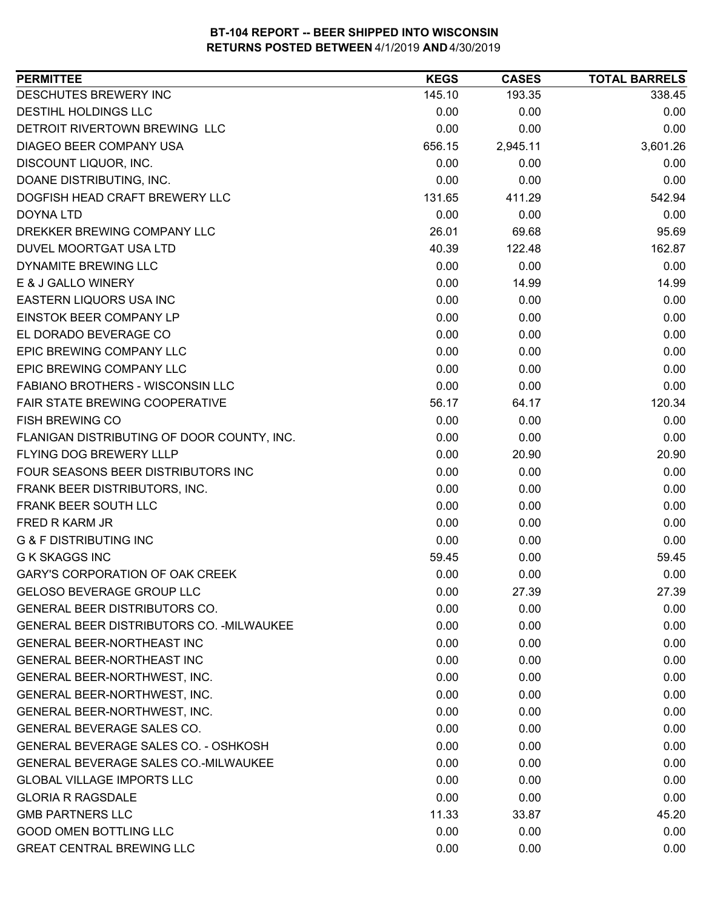| DESCHUTES BREWERY INC<br>145.10<br>193.35<br>338.45<br>DESTIHL HOLDINGS LLC<br>0.00<br>0.00<br>0.00<br>DETROIT RIVERTOWN BREWING LLC<br>0.00<br>0.00<br>0.00<br><b>DIAGEO BEER COMPANY USA</b><br>2,945.11<br>3,601.26<br>656.15<br>0.00<br>0.00<br>DISCOUNT LIQUOR, INC.<br>0.00<br>DOANE DISTRIBUTING, INC.<br>0.00<br>0.00<br>0.00<br>DOGFISH HEAD CRAFT BREWERY LLC<br>131.65<br>411.29<br>542.94<br>0.00<br>0.00<br>0.00<br>26.01<br>69.68<br>95.69<br>DUVEL MOORTGAT USA LTD<br>162.87<br>40.39<br>122.48<br>DYNAMITE BREWING LLC<br>0.00<br>0.00<br>0.00<br>0.00<br>E & J GALLO WINERY<br>14.99<br>14.99<br>0.00<br>EASTERN LIQUORS USA INC<br>0.00<br>0.00<br>EINSTOK BEER COMPANY LP<br>0.00<br>0.00<br>0.00<br>EL DORADO BEVERAGE CO<br>0.00<br>0.00<br>0.00<br>EPIC BREWING COMPANY LLC<br>0.00<br>0.00<br>0.00<br>0.00<br>0.00<br>0.00<br>FABIANO BROTHERS - WISCONSIN LLC<br>0.00<br>0.00<br>0.00<br>FAIR STATE BREWING COOPERATIVE<br>120.34<br>56.17<br>64.17<br>0.00<br>0.00<br>0.00<br>0.00<br>0.00<br>0.00<br>FLANIGAN DISTRIBUTING OF DOOR COUNTY, INC.<br>FLYING DOG BREWERY LLLP<br>0.00<br>20.90<br>20.90<br>FOUR SEASONS BEER DISTRIBUTORS INC<br>0.00<br>0.00<br>0.00<br>FRANK BEER DISTRIBUTORS, INC.<br>0.00<br>0.00<br>0.00<br>0.00<br>0.00<br>0.00<br>0.00<br>0.00<br>0.00<br><b>G &amp; F DISTRIBUTING INC</b><br>0.00<br>0.00<br>0.00<br><b>G K SKAGGS INC</b><br>59.45<br>59.45<br>0.00<br><b>GARY'S CORPORATION OF OAK CREEK</b><br>0.00<br>0.00<br>0.00<br><b>GELOSO BEVERAGE GROUP LLC</b><br>0.00<br>27.39<br>27.39<br>GENERAL BEER DISTRIBUTORS CO.<br>0.00<br>0.00<br>0.00<br><b>GENERAL BEER DISTRIBUTORS CO. - MILWAUKEE</b><br>0.00<br>0.00<br>0.00<br>GENERAL BEER-NORTHEAST INC<br>0.00<br>0.00<br>0.00<br><b>GENERAL BEER-NORTHEAST INC</b><br>0.00<br>0.00<br>0.00<br>0.00<br>0.00<br>0.00<br>GENERAL BEER-NORTHWEST, INC.<br>GENERAL BEER-NORTHWEST, INC.<br>0.00<br>0.00<br>0.00<br>0.00<br>0.00<br>GENERAL BEER-NORTHWEST, INC.<br>0.00<br>GENERAL BEVERAGE SALES CO.<br>0.00<br>0.00<br>0.00<br>GENERAL BEVERAGE SALES CO. - OSHKOSH<br>0.00<br>0.00<br>0.00<br><b>GENERAL BEVERAGE SALES CO.-MILWAUKEE</b><br>0.00<br>0.00<br>0.00<br><b>GLOBAL VILLAGE IMPORTS LLC</b><br>0.00<br>0.00<br>0.00<br>0.00<br><b>GLORIA R RAGSDALE</b><br>0.00<br>0.00<br><b>GMB PARTNERS LLC</b><br>11.33<br>33.87<br>45.20<br><b>GOOD OMEN BOTTLING LLC</b><br>0.00<br>0.00<br>0.00 | <b>PERMITTEE</b>                 | <b>KEGS</b> | <b>CASES</b> | <b>TOTAL BARRELS</b> |
|---------------------------------------------------------------------------------------------------------------------------------------------------------------------------------------------------------------------------------------------------------------------------------------------------------------------------------------------------------------------------------------------------------------------------------------------------------------------------------------------------------------------------------------------------------------------------------------------------------------------------------------------------------------------------------------------------------------------------------------------------------------------------------------------------------------------------------------------------------------------------------------------------------------------------------------------------------------------------------------------------------------------------------------------------------------------------------------------------------------------------------------------------------------------------------------------------------------------------------------------------------------------------------------------------------------------------------------------------------------------------------------------------------------------------------------------------------------------------------------------------------------------------------------------------------------------------------------------------------------------------------------------------------------------------------------------------------------------------------------------------------------------------------------------------------------------------------------------------------------------------------------------------------------------------------------------------------------------------------------------------------------------------------------------------------------------------------------------------------------------------------------------------------------------------------------------------------------------------------------------------------------------------------------------------------------------------------------------------------------------------------------------------------------------|----------------------------------|-------------|--------------|----------------------|
|                                                                                                                                                                                                                                                                                                                                                                                                                                                                                                                                                                                                                                                                                                                                                                                                                                                                                                                                                                                                                                                                                                                                                                                                                                                                                                                                                                                                                                                                                                                                                                                                                                                                                                                                                                                                                                                                                                                                                                                                                                                                                                                                                                                                                                                                                                                                                                                                                     |                                  |             |              |                      |
|                                                                                                                                                                                                                                                                                                                                                                                                                                                                                                                                                                                                                                                                                                                                                                                                                                                                                                                                                                                                                                                                                                                                                                                                                                                                                                                                                                                                                                                                                                                                                                                                                                                                                                                                                                                                                                                                                                                                                                                                                                                                                                                                                                                                                                                                                                                                                                                                                     |                                  |             |              |                      |
|                                                                                                                                                                                                                                                                                                                                                                                                                                                                                                                                                                                                                                                                                                                                                                                                                                                                                                                                                                                                                                                                                                                                                                                                                                                                                                                                                                                                                                                                                                                                                                                                                                                                                                                                                                                                                                                                                                                                                                                                                                                                                                                                                                                                                                                                                                                                                                                                                     |                                  |             |              |                      |
|                                                                                                                                                                                                                                                                                                                                                                                                                                                                                                                                                                                                                                                                                                                                                                                                                                                                                                                                                                                                                                                                                                                                                                                                                                                                                                                                                                                                                                                                                                                                                                                                                                                                                                                                                                                                                                                                                                                                                                                                                                                                                                                                                                                                                                                                                                                                                                                                                     |                                  |             |              |                      |
|                                                                                                                                                                                                                                                                                                                                                                                                                                                                                                                                                                                                                                                                                                                                                                                                                                                                                                                                                                                                                                                                                                                                                                                                                                                                                                                                                                                                                                                                                                                                                                                                                                                                                                                                                                                                                                                                                                                                                                                                                                                                                                                                                                                                                                                                                                                                                                                                                     |                                  |             |              |                      |
|                                                                                                                                                                                                                                                                                                                                                                                                                                                                                                                                                                                                                                                                                                                                                                                                                                                                                                                                                                                                                                                                                                                                                                                                                                                                                                                                                                                                                                                                                                                                                                                                                                                                                                                                                                                                                                                                                                                                                                                                                                                                                                                                                                                                                                                                                                                                                                                                                     |                                  |             |              |                      |
|                                                                                                                                                                                                                                                                                                                                                                                                                                                                                                                                                                                                                                                                                                                                                                                                                                                                                                                                                                                                                                                                                                                                                                                                                                                                                                                                                                                                                                                                                                                                                                                                                                                                                                                                                                                                                                                                                                                                                                                                                                                                                                                                                                                                                                                                                                                                                                                                                     |                                  |             |              |                      |
|                                                                                                                                                                                                                                                                                                                                                                                                                                                                                                                                                                                                                                                                                                                                                                                                                                                                                                                                                                                                                                                                                                                                                                                                                                                                                                                                                                                                                                                                                                                                                                                                                                                                                                                                                                                                                                                                                                                                                                                                                                                                                                                                                                                                                                                                                                                                                                                                                     | <b>DOYNA LTD</b>                 |             |              |                      |
|                                                                                                                                                                                                                                                                                                                                                                                                                                                                                                                                                                                                                                                                                                                                                                                                                                                                                                                                                                                                                                                                                                                                                                                                                                                                                                                                                                                                                                                                                                                                                                                                                                                                                                                                                                                                                                                                                                                                                                                                                                                                                                                                                                                                                                                                                                                                                                                                                     | DREKKER BREWING COMPANY LLC      |             |              |                      |
|                                                                                                                                                                                                                                                                                                                                                                                                                                                                                                                                                                                                                                                                                                                                                                                                                                                                                                                                                                                                                                                                                                                                                                                                                                                                                                                                                                                                                                                                                                                                                                                                                                                                                                                                                                                                                                                                                                                                                                                                                                                                                                                                                                                                                                                                                                                                                                                                                     |                                  |             |              |                      |
|                                                                                                                                                                                                                                                                                                                                                                                                                                                                                                                                                                                                                                                                                                                                                                                                                                                                                                                                                                                                                                                                                                                                                                                                                                                                                                                                                                                                                                                                                                                                                                                                                                                                                                                                                                                                                                                                                                                                                                                                                                                                                                                                                                                                                                                                                                                                                                                                                     |                                  |             |              |                      |
|                                                                                                                                                                                                                                                                                                                                                                                                                                                                                                                                                                                                                                                                                                                                                                                                                                                                                                                                                                                                                                                                                                                                                                                                                                                                                                                                                                                                                                                                                                                                                                                                                                                                                                                                                                                                                                                                                                                                                                                                                                                                                                                                                                                                                                                                                                                                                                                                                     |                                  |             |              |                      |
|                                                                                                                                                                                                                                                                                                                                                                                                                                                                                                                                                                                                                                                                                                                                                                                                                                                                                                                                                                                                                                                                                                                                                                                                                                                                                                                                                                                                                                                                                                                                                                                                                                                                                                                                                                                                                                                                                                                                                                                                                                                                                                                                                                                                                                                                                                                                                                                                                     |                                  |             |              |                      |
|                                                                                                                                                                                                                                                                                                                                                                                                                                                                                                                                                                                                                                                                                                                                                                                                                                                                                                                                                                                                                                                                                                                                                                                                                                                                                                                                                                                                                                                                                                                                                                                                                                                                                                                                                                                                                                                                                                                                                                                                                                                                                                                                                                                                                                                                                                                                                                                                                     |                                  |             |              |                      |
|                                                                                                                                                                                                                                                                                                                                                                                                                                                                                                                                                                                                                                                                                                                                                                                                                                                                                                                                                                                                                                                                                                                                                                                                                                                                                                                                                                                                                                                                                                                                                                                                                                                                                                                                                                                                                                                                                                                                                                                                                                                                                                                                                                                                                                                                                                                                                                                                                     |                                  |             |              |                      |
|                                                                                                                                                                                                                                                                                                                                                                                                                                                                                                                                                                                                                                                                                                                                                                                                                                                                                                                                                                                                                                                                                                                                                                                                                                                                                                                                                                                                                                                                                                                                                                                                                                                                                                                                                                                                                                                                                                                                                                                                                                                                                                                                                                                                                                                                                                                                                                                                                     |                                  |             |              |                      |
|                                                                                                                                                                                                                                                                                                                                                                                                                                                                                                                                                                                                                                                                                                                                                                                                                                                                                                                                                                                                                                                                                                                                                                                                                                                                                                                                                                                                                                                                                                                                                                                                                                                                                                                                                                                                                                                                                                                                                                                                                                                                                                                                                                                                                                                                                                                                                                                                                     | EPIC BREWING COMPANY LLC         |             |              |                      |
|                                                                                                                                                                                                                                                                                                                                                                                                                                                                                                                                                                                                                                                                                                                                                                                                                                                                                                                                                                                                                                                                                                                                                                                                                                                                                                                                                                                                                                                                                                                                                                                                                                                                                                                                                                                                                                                                                                                                                                                                                                                                                                                                                                                                                                                                                                                                                                                                                     |                                  |             |              |                      |
|                                                                                                                                                                                                                                                                                                                                                                                                                                                                                                                                                                                                                                                                                                                                                                                                                                                                                                                                                                                                                                                                                                                                                                                                                                                                                                                                                                                                                                                                                                                                                                                                                                                                                                                                                                                                                                                                                                                                                                                                                                                                                                                                                                                                                                                                                                                                                                                                                     |                                  |             |              |                      |
|                                                                                                                                                                                                                                                                                                                                                                                                                                                                                                                                                                                                                                                                                                                                                                                                                                                                                                                                                                                                                                                                                                                                                                                                                                                                                                                                                                                                                                                                                                                                                                                                                                                                                                                                                                                                                                                                                                                                                                                                                                                                                                                                                                                                                                                                                                                                                                                                                     | <b>FISH BREWING CO</b>           |             |              |                      |
|                                                                                                                                                                                                                                                                                                                                                                                                                                                                                                                                                                                                                                                                                                                                                                                                                                                                                                                                                                                                                                                                                                                                                                                                                                                                                                                                                                                                                                                                                                                                                                                                                                                                                                                                                                                                                                                                                                                                                                                                                                                                                                                                                                                                                                                                                                                                                                                                                     |                                  |             |              |                      |
|                                                                                                                                                                                                                                                                                                                                                                                                                                                                                                                                                                                                                                                                                                                                                                                                                                                                                                                                                                                                                                                                                                                                                                                                                                                                                                                                                                                                                                                                                                                                                                                                                                                                                                                                                                                                                                                                                                                                                                                                                                                                                                                                                                                                                                                                                                                                                                                                                     |                                  |             |              |                      |
|                                                                                                                                                                                                                                                                                                                                                                                                                                                                                                                                                                                                                                                                                                                                                                                                                                                                                                                                                                                                                                                                                                                                                                                                                                                                                                                                                                                                                                                                                                                                                                                                                                                                                                                                                                                                                                                                                                                                                                                                                                                                                                                                                                                                                                                                                                                                                                                                                     |                                  |             |              |                      |
|                                                                                                                                                                                                                                                                                                                                                                                                                                                                                                                                                                                                                                                                                                                                                                                                                                                                                                                                                                                                                                                                                                                                                                                                                                                                                                                                                                                                                                                                                                                                                                                                                                                                                                                                                                                                                                                                                                                                                                                                                                                                                                                                                                                                                                                                                                                                                                                                                     |                                  |             |              |                      |
|                                                                                                                                                                                                                                                                                                                                                                                                                                                                                                                                                                                                                                                                                                                                                                                                                                                                                                                                                                                                                                                                                                                                                                                                                                                                                                                                                                                                                                                                                                                                                                                                                                                                                                                                                                                                                                                                                                                                                                                                                                                                                                                                                                                                                                                                                                                                                                                                                     | FRANK BEER SOUTH LLC             |             |              |                      |
|                                                                                                                                                                                                                                                                                                                                                                                                                                                                                                                                                                                                                                                                                                                                                                                                                                                                                                                                                                                                                                                                                                                                                                                                                                                                                                                                                                                                                                                                                                                                                                                                                                                                                                                                                                                                                                                                                                                                                                                                                                                                                                                                                                                                                                                                                                                                                                                                                     | <b>FRED R KARM JR</b>            |             |              |                      |
|                                                                                                                                                                                                                                                                                                                                                                                                                                                                                                                                                                                                                                                                                                                                                                                                                                                                                                                                                                                                                                                                                                                                                                                                                                                                                                                                                                                                                                                                                                                                                                                                                                                                                                                                                                                                                                                                                                                                                                                                                                                                                                                                                                                                                                                                                                                                                                                                                     |                                  |             |              |                      |
|                                                                                                                                                                                                                                                                                                                                                                                                                                                                                                                                                                                                                                                                                                                                                                                                                                                                                                                                                                                                                                                                                                                                                                                                                                                                                                                                                                                                                                                                                                                                                                                                                                                                                                                                                                                                                                                                                                                                                                                                                                                                                                                                                                                                                                                                                                                                                                                                                     |                                  |             |              |                      |
|                                                                                                                                                                                                                                                                                                                                                                                                                                                                                                                                                                                                                                                                                                                                                                                                                                                                                                                                                                                                                                                                                                                                                                                                                                                                                                                                                                                                                                                                                                                                                                                                                                                                                                                                                                                                                                                                                                                                                                                                                                                                                                                                                                                                                                                                                                                                                                                                                     |                                  |             |              |                      |
|                                                                                                                                                                                                                                                                                                                                                                                                                                                                                                                                                                                                                                                                                                                                                                                                                                                                                                                                                                                                                                                                                                                                                                                                                                                                                                                                                                                                                                                                                                                                                                                                                                                                                                                                                                                                                                                                                                                                                                                                                                                                                                                                                                                                                                                                                                                                                                                                                     |                                  |             |              |                      |
|                                                                                                                                                                                                                                                                                                                                                                                                                                                                                                                                                                                                                                                                                                                                                                                                                                                                                                                                                                                                                                                                                                                                                                                                                                                                                                                                                                                                                                                                                                                                                                                                                                                                                                                                                                                                                                                                                                                                                                                                                                                                                                                                                                                                                                                                                                                                                                                                                     |                                  |             |              |                      |
|                                                                                                                                                                                                                                                                                                                                                                                                                                                                                                                                                                                                                                                                                                                                                                                                                                                                                                                                                                                                                                                                                                                                                                                                                                                                                                                                                                                                                                                                                                                                                                                                                                                                                                                                                                                                                                                                                                                                                                                                                                                                                                                                                                                                                                                                                                                                                                                                                     |                                  |             |              |                      |
|                                                                                                                                                                                                                                                                                                                                                                                                                                                                                                                                                                                                                                                                                                                                                                                                                                                                                                                                                                                                                                                                                                                                                                                                                                                                                                                                                                                                                                                                                                                                                                                                                                                                                                                                                                                                                                                                                                                                                                                                                                                                                                                                                                                                                                                                                                                                                                                                                     |                                  |             |              |                      |
|                                                                                                                                                                                                                                                                                                                                                                                                                                                                                                                                                                                                                                                                                                                                                                                                                                                                                                                                                                                                                                                                                                                                                                                                                                                                                                                                                                                                                                                                                                                                                                                                                                                                                                                                                                                                                                                                                                                                                                                                                                                                                                                                                                                                                                                                                                                                                                                                                     |                                  |             |              |                      |
|                                                                                                                                                                                                                                                                                                                                                                                                                                                                                                                                                                                                                                                                                                                                                                                                                                                                                                                                                                                                                                                                                                                                                                                                                                                                                                                                                                                                                                                                                                                                                                                                                                                                                                                                                                                                                                                                                                                                                                                                                                                                                                                                                                                                                                                                                                                                                                                                                     |                                  |             |              |                      |
|                                                                                                                                                                                                                                                                                                                                                                                                                                                                                                                                                                                                                                                                                                                                                                                                                                                                                                                                                                                                                                                                                                                                                                                                                                                                                                                                                                                                                                                                                                                                                                                                                                                                                                                                                                                                                                                                                                                                                                                                                                                                                                                                                                                                                                                                                                                                                                                                                     |                                  |             |              |                      |
|                                                                                                                                                                                                                                                                                                                                                                                                                                                                                                                                                                                                                                                                                                                                                                                                                                                                                                                                                                                                                                                                                                                                                                                                                                                                                                                                                                                                                                                                                                                                                                                                                                                                                                                                                                                                                                                                                                                                                                                                                                                                                                                                                                                                                                                                                                                                                                                                                     |                                  |             |              |                      |
|                                                                                                                                                                                                                                                                                                                                                                                                                                                                                                                                                                                                                                                                                                                                                                                                                                                                                                                                                                                                                                                                                                                                                                                                                                                                                                                                                                                                                                                                                                                                                                                                                                                                                                                                                                                                                                                                                                                                                                                                                                                                                                                                                                                                                                                                                                                                                                                                                     |                                  |             |              |                      |
|                                                                                                                                                                                                                                                                                                                                                                                                                                                                                                                                                                                                                                                                                                                                                                                                                                                                                                                                                                                                                                                                                                                                                                                                                                                                                                                                                                                                                                                                                                                                                                                                                                                                                                                                                                                                                                                                                                                                                                                                                                                                                                                                                                                                                                                                                                                                                                                                                     |                                  |             |              |                      |
|                                                                                                                                                                                                                                                                                                                                                                                                                                                                                                                                                                                                                                                                                                                                                                                                                                                                                                                                                                                                                                                                                                                                                                                                                                                                                                                                                                                                                                                                                                                                                                                                                                                                                                                                                                                                                                                                                                                                                                                                                                                                                                                                                                                                                                                                                                                                                                                                                     |                                  |             |              |                      |
|                                                                                                                                                                                                                                                                                                                                                                                                                                                                                                                                                                                                                                                                                                                                                                                                                                                                                                                                                                                                                                                                                                                                                                                                                                                                                                                                                                                                                                                                                                                                                                                                                                                                                                                                                                                                                                                                                                                                                                                                                                                                                                                                                                                                                                                                                                                                                                                                                     |                                  |             |              |                      |
|                                                                                                                                                                                                                                                                                                                                                                                                                                                                                                                                                                                                                                                                                                                                                                                                                                                                                                                                                                                                                                                                                                                                                                                                                                                                                                                                                                                                                                                                                                                                                                                                                                                                                                                                                                                                                                                                                                                                                                                                                                                                                                                                                                                                                                                                                                                                                                                                                     |                                  |             |              |                      |
|                                                                                                                                                                                                                                                                                                                                                                                                                                                                                                                                                                                                                                                                                                                                                                                                                                                                                                                                                                                                                                                                                                                                                                                                                                                                                                                                                                                                                                                                                                                                                                                                                                                                                                                                                                                                                                                                                                                                                                                                                                                                                                                                                                                                                                                                                                                                                                                                                     |                                  |             |              |                      |
|                                                                                                                                                                                                                                                                                                                                                                                                                                                                                                                                                                                                                                                                                                                                                                                                                                                                                                                                                                                                                                                                                                                                                                                                                                                                                                                                                                                                                                                                                                                                                                                                                                                                                                                                                                                                                                                                                                                                                                                                                                                                                                                                                                                                                                                                                                                                                                                                                     |                                  |             |              |                      |
|                                                                                                                                                                                                                                                                                                                                                                                                                                                                                                                                                                                                                                                                                                                                                                                                                                                                                                                                                                                                                                                                                                                                                                                                                                                                                                                                                                                                                                                                                                                                                                                                                                                                                                                                                                                                                                                                                                                                                                                                                                                                                                                                                                                                                                                                                                                                                                                                                     | <b>GREAT CENTRAL BREWING LLC</b> | 0.00        | 0.00         | 0.00                 |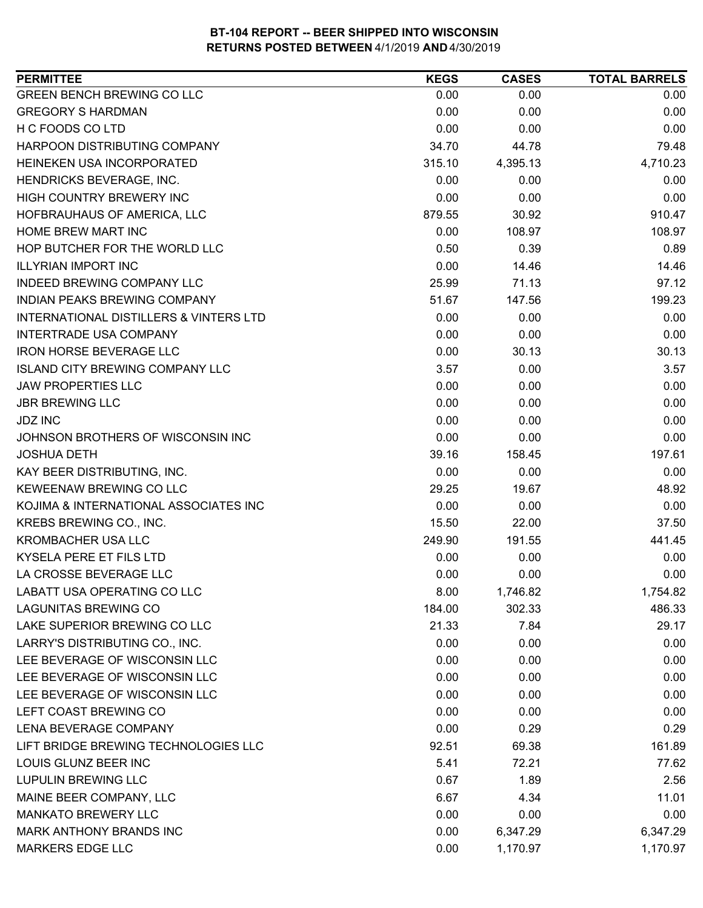| <b>PERMITTEE</b>                       | <b>KEGS</b> | <b>CASES</b> | <b>TOTAL BARRELS</b> |
|----------------------------------------|-------------|--------------|----------------------|
| <b>GREEN BENCH BREWING CO LLC</b>      | 0.00        | 0.00         | 0.00                 |
| <b>GREGORY S HARDMAN</b>               | 0.00        | 0.00         | 0.00                 |
| H C FOODS CO LTD                       | 0.00        | 0.00         | 0.00                 |
| HARPOON DISTRIBUTING COMPANY           | 34.70       | 44.78        | 79.48                |
| HEINEKEN USA INCORPORATED              | 315.10      | 4,395.13     | 4,710.23             |
| HENDRICKS BEVERAGE, INC.               | 0.00        | 0.00         | 0.00                 |
| HIGH COUNTRY BREWERY INC               | 0.00        | 0.00         | 0.00                 |
| HOFBRAUHAUS OF AMERICA, LLC            | 879.55      | 30.92        | 910.47               |
| HOME BREW MART INC                     | 0.00        | 108.97       | 108.97               |
| HOP BUTCHER FOR THE WORLD LLC          | 0.50        | 0.39         | 0.89                 |
| <b>ILLYRIAN IMPORT INC</b>             | 0.00        | 14.46        | 14.46                |
| <b>INDEED BREWING COMPANY LLC</b>      | 25.99       | 71.13        | 97.12                |
| <b>INDIAN PEAKS BREWING COMPANY</b>    | 51.67       | 147.56       | 199.23               |
| INTERNATIONAL DISTILLERS & VINTERS LTD | 0.00        | 0.00         | 0.00                 |
| <b>INTERTRADE USA COMPANY</b>          | 0.00        | 0.00         | 0.00                 |
| <b>IRON HORSE BEVERAGE LLC</b>         | 0.00        | 30.13        | 30.13                |
| <b>ISLAND CITY BREWING COMPANY LLC</b> | 3.57        | 0.00         | 3.57                 |
| <b>JAW PROPERTIES LLC</b>              | 0.00        | 0.00         | 0.00                 |
| <b>JBR BREWING LLC</b>                 | 0.00        | 0.00         | 0.00                 |
| <b>JDZ INC</b>                         | 0.00        | 0.00         | 0.00                 |
| JOHNSON BROTHERS OF WISCONSIN INC      | 0.00        | 0.00         | 0.00                 |
| <b>JOSHUA DETH</b>                     | 39.16       | 158.45       | 197.61               |
| KAY BEER DISTRIBUTING, INC.            | 0.00        | 0.00         | 0.00                 |
| KEWEENAW BREWING CO LLC                | 29.25       | 19.67        | 48.92                |
| KOJIMA & INTERNATIONAL ASSOCIATES INC  | 0.00        | 0.00         | 0.00                 |
| KREBS BREWING CO., INC.                | 15.50       | 22.00        | 37.50                |
| KROMBACHER USA LLC                     | 249.90      | 191.55       | 441.45               |
| KYSELA PERE ET FILS LTD                | 0.00        | 0.00         | 0.00                 |
| LA CROSSE BEVERAGE LLC                 | 0.00        | 0.00         | 0.00                 |
| LABATT USA OPERATING CO LLC            | 8.00        | 1,746.82     | 1,754.82             |
| <b>LAGUNITAS BREWING CO</b>            | 184.00      | 302.33       | 486.33               |
| LAKE SUPERIOR BREWING CO LLC           | 21.33       | 7.84         | 29.17                |
| LARRY'S DISTRIBUTING CO., INC.         | 0.00        | 0.00         | 0.00                 |
| LEE BEVERAGE OF WISCONSIN LLC          | 0.00        | 0.00         | 0.00                 |
| LEE BEVERAGE OF WISCONSIN LLC          | 0.00        | 0.00         | 0.00                 |
| LEE BEVERAGE OF WISCONSIN LLC          | 0.00        | 0.00         | 0.00                 |
| LEFT COAST BREWING CO                  | 0.00        | 0.00         | 0.00                 |
| LENA BEVERAGE COMPANY                  | 0.00        | 0.29         | 0.29                 |
| LIFT BRIDGE BREWING TECHNOLOGIES LLC   | 92.51       | 69.38        | 161.89               |
| LOUIS GLUNZ BEER INC                   | 5.41        | 72.21        | 77.62                |
| <b>LUPULIN BREWING LLC</b>             | 0.67        | 1.89         | 2.56                 |
| MAINE BEER COMPANY, LLC                | 6.67        | 4.34         | 11.01                |
| <b>MANKATO BREWERY LLC</b>             | 0.00        | 0.00         | 0.00                 |
| MARK ANTHONY BRANDS INC                | 0.00        | 6,347.29     | 6,347.29             |
| <b>MARKERS EDGE LLC</b>                | 0.00        | 1,170.97     | 1,170.97             |
|                                        |             |              |                      |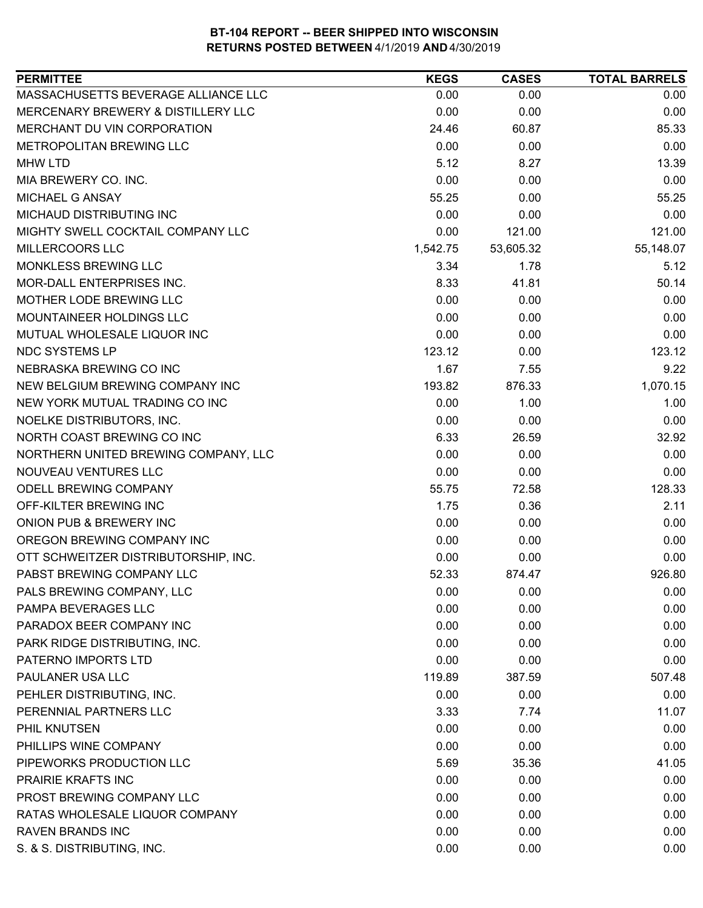| MASSACHUSETTS BEVERAGE ALLIANCE LLC<br>0.00<br>0.00<br>0.00<br>MERCENARY BREWERY & DISTILLERY LLC<br>0.00<br>0.00<br>0.00<br>MERCHANT DU VIN CORPORATION<br>24.46<br>60.87<br>85.33<br>0.00<br>METROPOLITAN BREWING LLC<br>0.00<br>0.00<br>5.12<br>8.27<br>13.39<br><b>MHW LTD</b><br>MIA BREWERY CO. INC.<br>0.00<br>0.00<br>0.00<br>MICHAEL G ANSAY<br>55.25<br>55.25<br>0.00<br>MICHAUD DISTRIBUTING INC<br>0.00<br>0.00<br>0.00<br>0.00<br>MIGHTY SWELL COCKTAIL COMPANY LLC<br>121.00<br>121.00<br>MILLERCOORS LLC<br>1,542.75<br>55,148.07<br>53,605.32<br>MONKLESS BREWING LLC<br>3.34<br>5.12<br>1.78<br>MOR-DALL ENTERPRISES INC.<br>8.33<br>41.81<br>50.14<br>0.00<br>MOTHER LODE BREWING LLC<br>0.00<br>0.00<br>MOUNTAINEER HOLDINGS LLC<br>0.00<br>0.00<br>0.00<br>MUTUAL WHOLESALE LIQUOR INC<br>0.00<br>0.00<br>0.00<br><b>NDC SYSTEMS LP</b><br>123.12<br>123.12<br>0.00<br>1.67<br>NEBRASKA BREWING CO INC<br>7.55<br>9.22<br>NEW BELGIUM BREWING COMPANY INC<br>193.82<br>876.33<br>1,070.15<br>NEW YORK MUTUAL TRADING CO INC<br>0.00<br>1.00<br>1.00<br>NOELKE DISTRIBUTORS, INC.<br>0.00<br>0.00<br>0.00<br>NORTH COAST BREWING CO INC<br>6.33<br>26.59<br>32.92<br>NORTHERN UNITED BREWING COMPANY, LLC<br>0.00<br>0.00<br>0.00<br>NOUVEAU VENTURES LLC<br>0.00<br>0.00<br>0.00<br>ODELL BREWING COMPANY<br>55.75<br>72.58<br>128.33<br>OFF-KILTER BREWING INC<br>1.75<br>0.36<br>2.11<br>ONION PUB & BREWERY INC<br>0.00<br>0.00<br>0.00<br>OREGON BREWING COMPANY INC<br>0.00<br>0.00<br>0.00<br>OTT SCHWEITZER DISTRIBUTORSHIP, INC.<br>0.00<br>0.00<br>0.00<br>PABST BREWING COMPANY LLC<br>52.33<br>926.80<br>874.47<br>PALS BREWING COMPANY, LLC<br>0.00<br>0.00<br>0.00<br>0.00<br>0.00<br>0.00<br>PAMPA BEVERAGES LLC<br>PARADOX BEER COMPANY INC<br>0.00<br>0.00<br>0.00<br>PARK RIDGE DISTRIBUTING, INC.<br>0.00<br>0.00<br>0.00<br>PATERNO IMPORTS LTD<br>0.00<br>0.00<br>0.00<br>PAULANER USA LLC<br>119.89<br>387.59<br>507.48<br>PEHLER DISTRIBUTING, INC.<br>0.00<br>0.00<br>0.00<br>PERENNIAL PARTNERS LLC<br>3.33<br>11.07<br>7.74<br>PHIL KNUTSEN<br>0.00<br>0.00<br>0.00<br>PHILLIPS WINE COMPANY<br>0.00<br>0.00<br>0.00<br>PIPEWORKS PRODUCTION LLC<br>5.69<br>35.36<br>41.05<br>PRAIRIE KRAFTS INC<br>0.00<br>0.00<br>0.00<br>PROST BREWING COMPANY LLC<br>0.00<br>0.00<br>0.00<br>0.00<br>RATAS WHOLESALE LIQUOR COMPANY<br>0.00<br>0.00<br><b>RAVEN BRANDS INC</b><br>0.00<br>0.00<br>0.00 | <b>PERMITTEE</b>           | <b>KEGS</b> | <b>CASES</b> | <b>TOTAL BARRELS</b> |
|-----------------------------------------------------------------------------------------------------------------------------------------------------------------------------------------------------------------------------------------------------------------------------------------------------------------------------------------------------------------------------------------------------------------------------------------------------------------------------------------------------------------------------------------------------------------------------------------------------------------------------------------------------------------------------------------------------------------------------------------------------------------------------------------------------------------------------------------------------------------------------------------------------------------------------------------------------------------------------------------------------------------------------------------------------------------------------------------------------------------------------------------------------------------------------------------------------------------------------------------------------------------------------------------------------------------------------------------------------------------------------------------------------------------------------------------------------------------------------------------------------------------------------------------------------------------------------------------------------------------------------------------------------------------------------------------------------------------------------------------------------------------------------------------------------------------------------------------------------------------------------------------------------------------------------------------------------------------------------------------------------------------------------------------------------------------------------------------------------------------------------------------------------------------------------------------------------------------------------------------------------------------------------------------------------------------------------------------------------------------------------------------------------------------------------------------|----------------------------|-------------|--------------|----------------------|
|                                                                                                                                                                                                                                                                                                                                                                                                                                                                                                                                                                                                                                                                                                                                                                                                                                                                                                                                                                                                                                                                                                                                                                                                                                                                                                                                                                                                                                                                                                                                                                                                                                                                                                                                                                                                                                                                                                                                                                                                                                                                                                                                                                                                                                                                                                                                                                                                                                         |                            |             |              |                      |
|                                                                                                                                                                                                                                                                                                                                                                                                                                                                                                                                                                                                                                                                                                                                                                                                                                                                                                                                                                                                                                                                                                                                                                                                                                                                                                                                                                                                                                                                                                                                                                                                                                                                                                                                                                                                                                                                                                                                                                                                                                                                                                                                                                                                                                                                                                                                                                                                                                         |                            |             |              |                      |
|                                                                                                                                                                                                                                                                                                                                                                                                                                                                                                                                                                                                                                                                                                                                                                                                                                                                                                                                                                                                                                                                                                                                                                                                                                                                                                                                                                                                                                                                                                                                                                                                                                                                                                                                                                                                                                                                                                                                                                                                                                                                                                                                                                                                                                                                                                                                                                                                                                         |                            |             |              |                      |
|                                                                                                                                                                                                                                                                                                                                                                                                                                                                                                                                                                                                                                                                                                                                                                                                                                                                                                                                                                                                                                                                                                                                                                                                                                                                                                                                                                                                                                                                                                                                                                                                                                                                                                                                                                                                                                                                                                                                                                                                                                                                                                                                                                                                                                                                                                                                                                                                                                         |                            |             |              |                      |
|                                                                                                                                                                                                                                                                                                                                                                                                                                                                                                                                                                                                                                                                                                                                                                                                                                                                                                                                                                                                                                                                                                                                                                                                                                                                                                                                                                                                                                                                                                                                                                                                                                                                                                                                                                                                                                                                                                                                                                                                                                                                                                                                                                                                                                                                                                                                                                                                                                         |                            |             |              |                      |
|                                                                                                                                                                                                                                                                                                                                                                                                                                                                                                                                                                                                                                                                                                                                                                                                                                                                                                                                                                                                                                                                                                                                                                                                                                                                                                                                                                                                                                                                                                                                                                                                                                                                                                                                                                                                                                                                                                                                                                                                                                                                                                                                                                                                                                                                                                                                                                                                                                         |                            |             |              |                      |
|                                                                                                                                                                                                                                                                                                                                                                                                                                                                                                                                                                                                                                                                                                                                                                                                                                                                                                                                                                                                                                                                                                                                                                                                                                                                                                                                                                                                                                                                                                                                                                                                                                                                                                                                                                                                                                                                                                                                                                                                                                                                                                                                                                                                                                                                                                                                                                                                                                         |                            |             |              |                      |
|                                                                                                                                                                                                                                                                                                                                                                                                                                                                                                                                                                                                                                                                                                                                                                                                                                                                                                                                                                                                                                                                                                                                                                                                                                                                                                                                                                                                                                                                                                                                                                                                                                                                                                                                                                                                                                                                                                                                                                                                                                                                                                                                                                                                                                                                                                                                                                                                                                         |                            |             |              |                      |
|                                                                                                                                                                                                                                                                                                                                                                                                                                                                                                                                                                                                                                                                                                                                                                                                                                                                                                                                                                                                                                                                                                                                                                                                                                                                                                                                                                                                                                                                                                                                                                                                                                                                                                                                                                                                                                                                                                                                                                                                                                                                                                                                                                                                                                                                                                                                                                                                                                         |                            |             |              |                      |
|                                                                                                                                                                                                                                                                                                                                                                                                                                                                                                                                                                                                                                                                                                                                                                                                                                                                                                                                                                                                                                                                                                                                                                                                                                                                                                                                                                                                                                                                                                                                                                                                                                                                                                                                                                                                                                                                                                                                                                                                                                                                                                                                                                                                                                                                                                                                                                                                                                         |                            |             |              |                      |
|                                                                                                                                                                                                                                                                                                                                                                                                                                                                                                                                                                                                                                                                                                                                                                                                                                                                                                                                                                                                                                                                                                                                                                                                                                                                                                                                                                                                                                                                                                                                                                                                                                                                                                                                                                                                                                                                                                                                                                                                                                                                                                                                                                                                                                                                                                                                                                                                                                         |                            |             |              |                      |
|                                                                                                                                                                                                                                                                                                                                                                                                                                                                                                                                                                                                                                                                                                                                                                                                                                                                                                                                                                                                                                                                                                                                                                                                                                                                                                                                                                                                                                                                                                                                                                                                                                                                                                                                                                                                                                                                                                                                                                                                                                                                                                                                                                                                                                                                                                                                                                                                                                         |                            |             |              |                      |
|                                                                                                                                                                                                                                                                                                                                                                                                                                                                                                                                                                                                                                                                                                                                                                                                                                                                                                                                                                                                                                                                                                                                                                                                                                                                                                                                                                                                                                                                                                                                                                                                                                                                                                                                                                                                                                                                                                                                                                                                                                                                                                                                                                                                                                                                                                                                                                                                                                         |                            |             |              |                      |
|                                                                                                                                                                                                                                                                                                                                                                                                                                                                                                                                                                                                                                                                                                                                                                                                                                                                                                                                                                                                                                                                                                                                                                                                                                                                                                                                                                                                                                                                                                                                                                                                                                                                                                                                                                                                                                                                                                                                                                                                                                                                                                                                                                                                                                                                                                                                                                                                                                         |                            |             |              |                      |
|                                                                                                                                                                                                                                                                                                                                                                                                                                                                                                                                                                                                                                                                                                                                                                                                                                                                                                                                                                                                                                                                                                                                                                                                                                                                                                                                                                                                                                                                                                                                                                                                                                                                                                                                                                                                                                                                                                                                                                                                                                                                                                                                                                                                                                                                                                                                                                                                                                         |                            |             |              |                      |
|                                                                                                                                                                                                                                                                                                                                                                                                                                                                                                                                                                                                                                                                                                                                                                                                                                                                                                                                                                                                                                                                                                                                                                                                                                                                                                                                                                                                                                                                                                                                                                                                                                                                                                                                                                                                                                                                                                                                                                                                                                                                                                                                                                                                                                                                                                                                                                                                                                         |                            |             |              |                      |
|                                                                                                                                                                                                                                                                                                                                                                                                                                                                                                                                                                                                                                                                                                                                                                                                                                                                                                                                                                                                                                                                                                                                                                                                                                                                                                                                                                                                                                                                                                                                                                                                                                                                                                                                                                                                                                                                                                                                                                                                                                                                                                                                                                                                                                                                                                                                                                                                                                         |                            |             |              |                      |
|                                                                                                                                                                                                                                                                                                                                                                                                                                                                                                                                                                                                                                                                                                                                                                                                                                                                                                                                                                                                                                                                                                                                                                                                                                                                                                                                                                                                                                                                                                                                                                                                                                                                                                                                                                                                                                                                                                                                                                                                                                                                                                                                                                                                                                                                                                                                                                                                                                         |                            |             |              |                      |
|                                                                                                                                                                                                                                                                                                                                                                                                                                                                                                                                                                                                                                                                                                                                                                                                                                                                                                                                                                                                                                                                                                                                                                                                                                                                                                                                                                                                                                                                                                                                                                                                                                                                                                                                                                                                                                                                                                                                                                                                                                                                                                                                                                                                                                                                                                                                                                                                                                         |                            |             |              |                      |
|                                                                                                                                                                                                                                                                                                                                                                                                                                                                                                                                                                                                                                                                                                                                                                                                                                                                                                                                                                                                                                                                                                                                                                                                                                                                                                                                                                                                                                                                                                                                                                                                                                                                                                                                                                                                                                                                                                                                                                                                                                                                                                                                                                                                                                                                                                                                                                                                                                         |                            |             |              |                      |
|                                                                                                                                                                                                                                                                                                                                                                                                                                                                                                                                                                                                                                                                                                                                                                                                                                                                                                                                                                                                                                                                                                                                                                                                                                                                                                                                                                                                                                                                                                                                                                                                                                                                                                                                                                                                                                                                                                                                                                                                                                                                                                                                                                                                                                                                                                                                                                                                                                         |                            |             |              |                      |
|                                                                                                                                                                                                                                                                                                                                                                                                                                                                                                                                                                                                                                                                                                                                                                                                                                                                                                                                                                                                                                                                                                                                                                                                                                                                                                                                                                                                                                                                                                                                                                                                                                                                                                                                                                                                                                                                                                                                                                                                                                                                                                                                                                                                                                                                                                                                                                                                                                         |                            |             |              |                      |
|                                                                                                                                                                                                                                                                                                                                                                                                                                                                                                                                                                                                                                                                                                                                                                                                                                                                                                                                                                                                                                                                                                                                                                                                                                                                                                                                                                                                                                                                                                                                                                                                                                                                                                                                                                                                                                                                                                                                                                                                                                                                                                                                                                                                                                                                                                                                                                                                                                         |                            |             |              |                      |
|                                                                                                                                                                                                                                                                                                                                                                                                                                                                                                                                                                                                                                                                                                                                                                                                                                                                                                                                                                                                                                                                                                                                                                                                                                                                                                                                                                                                                                                                                                                                                                                                                                                                                                                                                                                                                                                                                                                                                                                                                                                                                                                                                                                                                                                                                                                                                                                                                                         |                            |             |              |                      |
|                                                                                                                                                                                                                                                                                                                                                                                                                                                                                                                                                                                                                                                                                                                                                                                                                                                                                                                                                                                                                                                                                                                                                                                                                                                                                                                                                                                                                                                                                                                                                                                                                                                                                                                                                                                                                                                                                                                                                                                                                                                                                                                                                                                                                                                                                                                                                                                                                                         |                            |             |              |                      |
|                                                                                                                                                                                                                                                                                                                                                                                                                                                                                                                                                                                                                                                                                                                                                                                                                                                                                                                                                                                                                                                                                                                                                                                                                                                                                                                                                                                                                                                                                                                                                                                                                                                                                                                                                                                                                                                                                                                                                                                                                                                                                                                                                                                                                                                                                                                                                                                                                                         |                            |             |              |                      |
|                                                                                                                                                                                                                                                                                                                                                                                                                                                                                                                                                                                                                                                                                                                                                                                                                                                                                                                                                                                                                                                                                                                                                                                                                                                                                                                                                                                                                                                                                                                                                                                                                                                                                                                                                                                                                                                                                                                                                                                                                                                                                                                                                                                                                                                                                                                                                                                                                                         |                            |             |              |                      |
|                                                                                                                                                                                                                                                                                                                                                                                                                                                                                                                                                                                                                                                                                                                                                                                                                                                                                                                                                                                                                                                                                                                                                                                                                                                                                                                                                                                                                                                                                                                                                                                                                                                                                                                                                                                                                                                                                                                                                                                                                                                                                                                                                                                                                                                                                                                                                                                                                                         |                            |             |              |                      |
|                                                                                                                                                                                                                                                                                                                                                                                                                                                                                                                                                                                                                                                                                                                                                                                                                                                                                                                                                                                                                                                                                                                                                                                                                                                                                                                                                                                                                                                                                                                                                                                                                                                                                                                                                                                                                                                                                                                                                                                                                                                                                                                                                                                                                                                                                                                                                                                                                                         |                            |             |              |                      |
|                                                                                                                                                                                                                                                                                                                                                                                                                                                                                                                                                                                                                                                                                                                                                                                                                                                                                                                                                                                                                                                                                                                                                                                                                                                                                                                                                                                                                                                                                                                                                                                                                                                                                                                                                                                                                                                                                                                                                                                                                                                                                                                                                                                                                                                                                                                                                                                                                                         |                            |             |              |                      |
|                                                                                                                                                                                                                                                                                                                                                                                                                                                                                                                                                                                                                                                                                                                                                                                                                                                                                                                                                                                                                                                                                                                                                                                                                                                                                                                                                                                                                                                                                                                                                                                                                                                                                                                                                                                                                                                                                                                                                                                                                                                                                                                                                                                                                                                                                                                                                                                                                                         |                            |             |              |                      |
|                                                                                                                                                                                                                                                                                                                                                                                                                                                                                                                                                                                                                                                                                                                                                                                                                                                                                                                                                                                                                                                                                                                                                                                                                                                                                                                                                                                                                                                                                                                                                                                                                                                                                                                                                                                                                                                                                                                                                                                                                                                                                                                                                                                                                                                                                                                                                                                                                                         |                            |             |              |                      |
|                                                                                                                                                                                                                                                                                                                                                                                                                                                                                                                                                                                                                                                                                                                                                                                                                                                                                                                                                                                                                                                                                                                                                                                                                                                                                                                                                                                                                                                                                                                                                                                                                                                                                                                                                                                                                                                                                                                                                                                                                                                                                                                                                                                                                                                                                                                                                                                                                                         |                            |             |              |                      |
|                                                                                                                                                                                                                                                                                                                                                                                                                                                                                                                                                                                                                                                                                                                                                                                                                                                                                                                                                                                                                                                                                                                                                                                                                                                                                                                                                                                                                                                                                                                                                                                                                                                                                                                                                                                                                                                                                                                                                                                                                                                                                                                                                                                                                                                                                                                                                                                                                                         |                            |             |              |                      |
|                                                                                                                                                                                                                                                                                                                                                                                                                                                                                                                                                                                                                                                                                                                                                                                                                                                                                                                                                                                                                                                                                                                                                                                                                                                                                                                                                                                                                                                                                                                                                                                                                                                                                                                                                                                                                                                                                                                                                                                                                                                                                                                                                                                                                                                                                                                                                                                                                                         |                            |             |              |                      |
|                                                                                                                                                                                                                                                                                                                                                                                                                                                                                                                                                                                                                                                                                                                                                                                                                                                                                                                                                                                                                                                                                                                                                                                                                                                                                                                                                                                                                                                                                                                                                                                                                                                                                                                                                                                                                                                                                                                                                                                                                                                                                                                                                                                                                                                                                                                                                                                                                                         |                            |             |              |                      |
|                                                                                                                                                                                                                                                                                                                                                                                                                                                                                                                                                                                                                                                                                                                                                                                                                                                                                                                                                                                                                                                                                                                                                                                                                                                                                                                                                                                                                                                                                                                                                                                                                                                                                                                                                                                                                                                                                                                                                                                                                                                                                                                                                                                                                                                                                                                                                                                                                                         |                            |             |              |                      |
|                                                                                                                                                                                                                                                                                                                                                                                                                                                                                                                                                                                                                                                                                                                                                                                                                                                                                                                                                                                                                                                                                                                                                                                                                                                                                                                                                                                                                                                                                                                                                                                                                                                                                                                                                                                                                                                                                                                                                                                                                                                                                                                                                                                                                                                                                                                                                                                                                                         |                            |             |              |                      |
|                                                                                                                                                                                                                                                                                                                                                                                                                                                                                                                                                                                                                                                                                                                                                                                                                                                                                                                                                                                                                                                                                                                                                                                                                                                                                                                                                                                                                                                                                                                                                                                                                                                                                                                                                                                                                                                                                                                                                                                                                                                                                                                                                                                                                                                                                                                                                                                                                                         |                            |             |              |                      |
|                                                                                                                                                                                                                                                                                                                                                                                                                                                                                                                                                                                                                                                                                                                                                                                                                                                                                                                                                                                                                                                                                                                                                                                                                                                                                                                                                                                                                                                                                                                                                                                                                                                                                                                                                                                                                                                                                                                                                                                                                                                                                                                                                                                                                                                                                                                                                                                                                                         |                            |             |              |                      |
|                                                                                                                                                                                                                                                                                                                                                                                                                                                                                                                                                                                                                                                                                                                                                                                                                                                                                                                                                                                                                                                                                                                                                                                                                                                                                                                                                                                                                                                                                                                                                                                                                                                                                                                                                                                                                                                                                                                                                                                                                                                                                                                                                                                                                                                                                                                                                                                                                                         |                            |             |              |                      |
|                                                                                                                                                                                                                                                                                                                                                                                                                                                                                                                                                                                                                                                                                                                                                                                                                                                                                                                                                                                                                                                                                                                                                                                                                                                                                                                                                                                                                                                                                                                                                                                                                                                                                                                                                                                                                                                                                                                                                                                                                                                                                                                                                                                                                                                                                                                                                                                                                                         |                            |             |              |                      |
|                                                                                                                                                                                                                                                                                                                                                                                                                                                                                                                                                                                                                                                                                                                                                                                                                                                                                                                                                                                                                                                                                                                                                                                                                                                                                                                                                                                                                                                                                                                                                                                                                                                                                                                                                                                                                                                                                                                                                                                                                                                                                                                                                                                                                                                                                                                                                                                                                                         |                            |             |              |                      |
|                                                                                                                                                                                                                                                                                                                                                                                                                                                                                                                                                                                                                                                                                                                                                                                                                                                                                                                                                                                                                                                                                                                                                                                                                                                                                                                                                                                                                                                                                                                                                                                                                                                                                                                                                                                                                                                                                                                                                                                                                                                                                                                                                                                                                                                                                                                                                                                                                                         |                            |             |              |                      |
|                                                                                                                                                                                                                                                                                                                                                                                                                                                                                                                                                                                                                                                                                                                                                                                                                                                                                                                                                                                                                                                                                                                                                                                                                                                                                                                                                                                                                                                                                                                                                                                                                                                                                                                                                                                                                                                                                                                                                                                                                                                                                                                                                                                                                                                                                                                                                                                                                                         | S. & S. DISTRIBUTING, INC. | 0.00        | 0.00         | 0.00                 |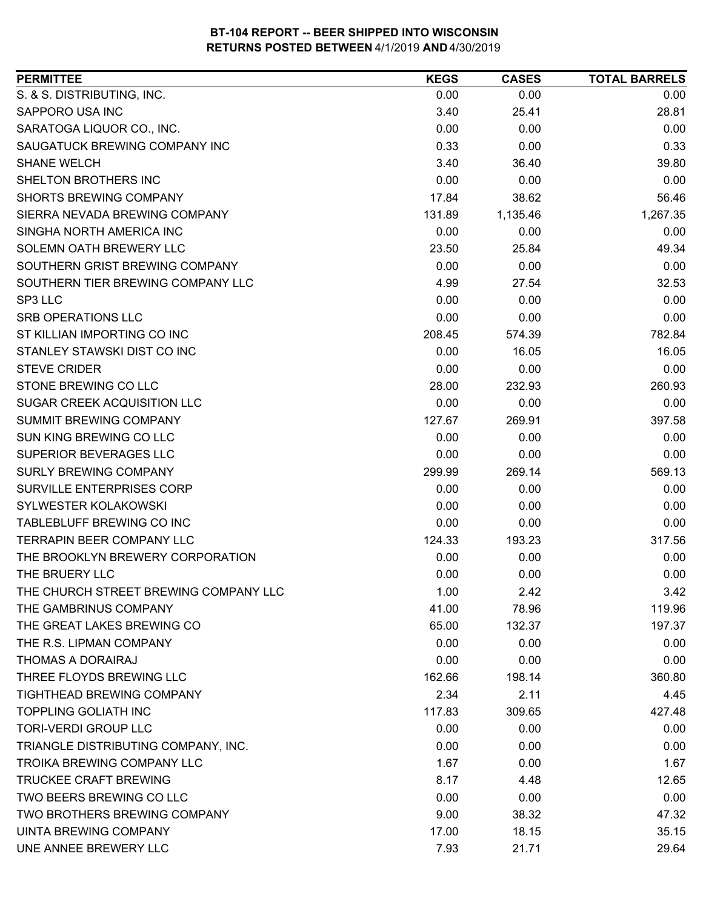| <b>PERMITTEE</b>                      | <b>KEGS</b> | <b>CASES</b> | <b>TOTAL BARRELS</b> |
|---------------------------------------|-------------|--------------|----------------------|
| S. & S. DISTRIBUTING, INC.            | 0.00        | 0.00         | 0.00                 |
| SAPPORO USA INC                       | 3.40        | 25.41        | 28.81                |
| SARATOGA LIQUOR CO., INC.             | 0.00        | 0.00         | 0.00                 |
| SAUGATUCK BREWING COMPANY INC         | 0.33        | 0.00         | 0.33                 |
| <b>SHANE WELCH</b>                    | 3.40        | 36.40        | 39.80                |
| SHELTON BROTHERS INC                  | 0.00        | 0.00         | 0.00                 |
| SHORTS BREWING COMPANY                | 17.84       | 38.62        | 56.46                |
| SIERRA NEVADA BREWING COMPANY         | 131.89      | 1,135.46     | 1,267.35             |
| SINGHA NORTH AMERICA INC              | 0.00        | 0.00         | 0.00                 |
| SOLEMN OATH BREWERY LLC               | 23.50       | 25.84        | 49.34                |
| SOUTHERN GRIST BREWING COMPANY        | 0.00        | 0.00         | 0.00                 |
| SOUTHERN TIER BREWING COMPANY LLC     | 4.99        | 27.54        | 32.53                |
| SP3 LLC                               | 0.00        | 0.00         | 0.00                 |
| <b>SRB OPERATIONS LLC</b>             | 0.00        | 0.00         | 0.00                 |
| ST KILLIAN IMPORTING CO INC           | 208.45      | 574.39       | 782.84               |
| STANLEY STAWSKI DIST CO INC           | 0.00        | 16.05        | 16.05                |
| <b>STEVE CRIDER</b>                   | 0.00        | 0.00         | 0.00                 |
| STONE BREWING CO LLC                  | 28.00       | 232.93       | 260.93               |
| SUGAR CREEK ACQUISITION LLC           | 0.00        | 0.00         | 0.00                 |
| <b>SUMMIT BREWING COMPANY</b>         | 127.67      | 269.91       | 397.58               |
| SUN KING BREWING CO LLC               | 0.00        | 0.00         | 0.00                 |
| SUPERIOR BEVERAGES LLC                | 0.00        | 0.00         | 0.00                 |
| <b>SURLY BREWING COMPANY</b>          | 299.99      | 269.14       | 569.13               |
| SURVILLE ENTERPRISES CORP             | 0.00        | 0.00         | 0.00                 |
| SYLWESTER KOLAKOWSKI                  | 0.00        | 0.00         | 0.00                 |
| TABLEBLUFF BREWING CO INC             | 0.00        | 0.00         | 0.00                 |
| TERRAPIN BEER COMPANY LLC             | 124.33      | 193.23       | 317.56               |
| THE BROOKLYN BREWERY CORPORATION      | 0.00        | 0.00         | 0.00                 |
| THE BRUERY LLC                        | 0.00        | 0.00         | 0.00                 |
| THE CHURCH STREET BREWING COMPANY LLC | 1.00        | 2.42         | 3.42                 |
| THE GAMBRINUS COMPANY                 | 41.00       | 78.96        | 119.96               |
| THE GREAT LAKES BREWING CO            | 65.00       | 132.37       | 197.37               |
| THE R.S. LIPMAN COMPANY               | 0.00        | 0.00         | 0.00                 |
| THOMAS A DORAIRAJ                     | 0.00        | 0.00         | 0.00                 |
| THREE FLOYDS BREWING LLC              | 162.66      | 198.14       | 360.80               |
| TIGHTHEAD BREWING COMPANY             | 2.34        | 2.11         | 4.45                 |
| <b>TOPPLING GOLIATH INC</b>           | 117.83      | 309.65       | 427.48               |
| <b>TORI-VERDI GROUP LLC</b>           | 0.00        | 0.00         | 0.00                 |
| TRIANGLE DISTRIBUTING COMPANY, INC.   | 0.00        | 0.00         | 0.00                 |
| <b>TROIKA BREWING COMPANY LLC</b>     | 1.67        | 0.00         | 1.67                 |
| TRUCKEE CRAFT BREWING                 | 8.17        | 4.48         | 12.65                |
| TWO BEERS BREWING CO LLC              | 0.00        | 0.00         | 0.00                 |
| TWO BROTHERS BREWING COMPANY          | 9.00        | 38.32        | 47.32                |
| UINTA BREWING COMPANY                 | 17.00       | 18.15        | 35.15                |
| UNE ANNEE BREWERY LLC                 | 7.93        | 21.71        | 29.64                |